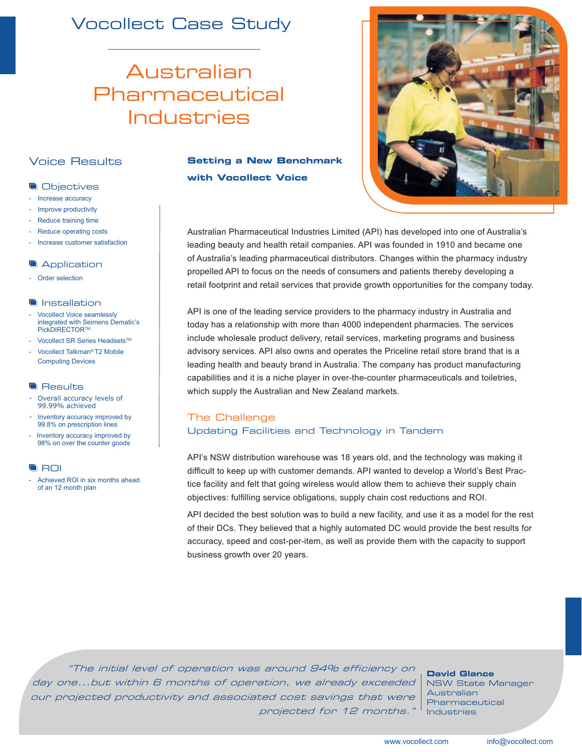### Vocollect Case Study

## Australian Pharmaceutical Industries

#### Voice Results

#### **Objectives**

- Increase accuracy
- Improve productivity
- Reduce training time
- Reduce operating costs
- Increase customer satisfaction

#### **Application**

Order selection

#### **Installation**

- Vocollect Voice seamlessly integrated with Seimens Dematic's PickDIRECTORTM
- Vocollect SR Series Headsets™ - Vocollect Talkman*®* T2 Mobile
- Computing Devices

#### **Results**

- Overall accuracy levels of 99.99% achieved
- Inventory accuracy improved by 99.8% on prescription lines
- Inventory accuracy improved by 98% on over the counter goods

#### **ROI**

- Achieved ROI in six months ahead of an 12 month plan

#### **Setting a New Benchmark with Vocollect Voice**



Australian Pharmaceutical Industries Limited (API) has developed into one of Australia's leading beauty and health retail companies. API was founded in 1910 and became one of Australia's leading pharmaceutical distributors. Changes within the pharmacy industry propelled API to focus on the needs of consumers and patients thereby developing a retail footprint and retail services that provide growth opportunities for the company today.

API is one of the leading service providers to the pharmacy industry in Australia and today has a relationship with more than 4000 independent pharmacies. The services include wholesale product delivery, retail services, marketing programs and business advisory services. API also owns and operates the Priceline retail store brand that is a leading health and beauty brand in Australia. The company has product manufacturing capabilities and it is a niche player in over-the-counter pharmaceuticals and toiletries, which supply the Australian and New Zealand markets.

#### The Challenge Updating Facilities and Technology in Tandem

API's NSW distribution warehouse was 18 years old, and the technology was making it difficult to keep up with customer demands. API wanted to develop a World's Best Practice facility and felt that going wireless would allow them to achieve their supply chain objectives: fulfilling service obligations, supply chain cost reductions and ROI.

API decided the best solution was to build a new facility, and use it as a model for the rest of their DCs. They believed that a highly automated DC would provide the best results for accuracy, speed and cost-per-item, as well as provide them with the capacity to support business growth over 20 years.

"The initial level of operation was around 94% efficiency on day one...but within 6 months of operation, we already exceeded our projected productivity and associated cost savings that were projected for 12 months."

**David Glance** NSW State Manager Australian Pharmaceutical Industries